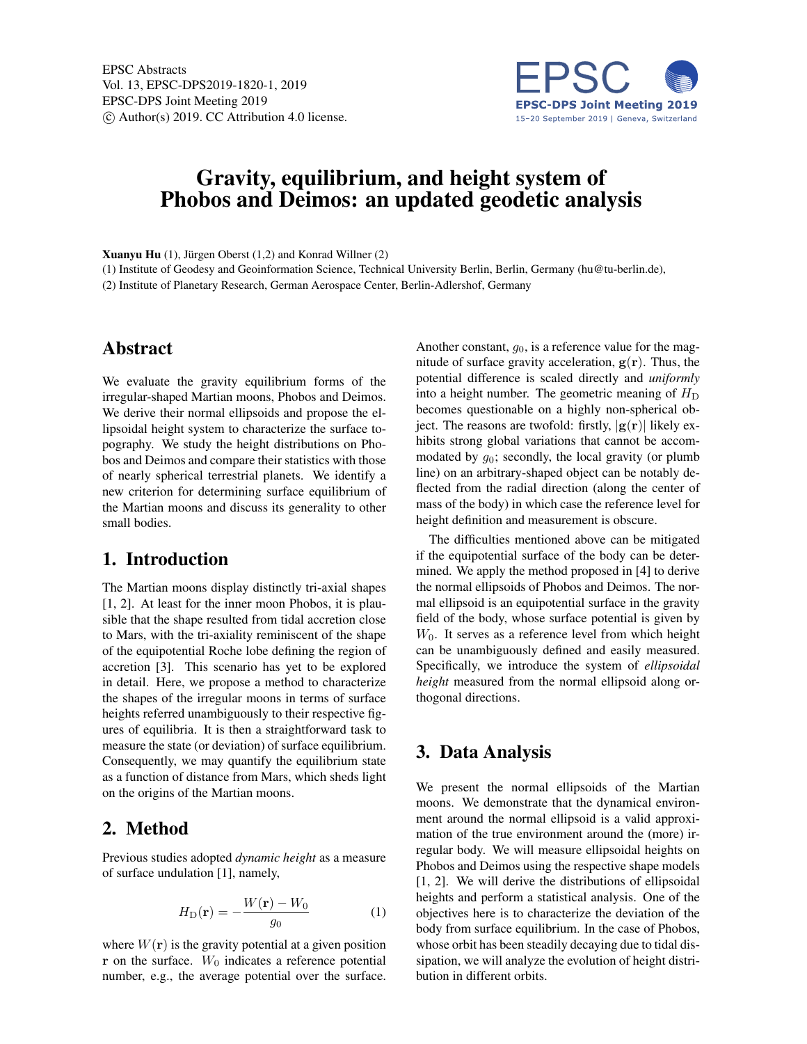

# Gravity, equilibrium, and height system of Phobos and Deimos: an updated geodetic analysis

Xuanyu Hu (1), Jürgen Oberst (1,2) and Konrad Willner (2)

(1) Institute of Geodesy and Geoinformation Science, Technical University Berlin, Berlin, Germany (hu@tu-berlin.de), (2) Institute of Planetary Research, German Aerospace Center, Berlin-Adlershof, Germany

#### Abstract

We evaluate the gravity equilibrium forms of the irregular-shaped Martian moons, Phobos and Deimos. We derive their normal ellipsoids and propose the ellipsoidal height system to characterize the surface topography. We study the height distributions on Phobos and Deimos and compare their statistics with those of nearly spherical terrestrial planets. We identify a new criterion for determining surface equilibrium of the Martian moons and discuss its generality to other small bodies.

### 1. Introduction

The Martian moons display distinctly tri-axial shapes [1, 2]. At least for the inner moon Phobos, it is plausible that the shape resulted from tidal accretion close to Mars, with the tri-axiality reminiscent of the shape of the equipotential Roche lobe defining the region of accretion [3]. This scenario has yet to be explored in detail. Here, we propose a method to characterize the shapes of the irregular moons in terms of surface heights referred unambiguously to their respective figures of equilibria. It is then a straightforward task to measure the state (or deviation) of surface equilibrium. Consequently, we may quantify the equilibrium state as a function of distance from Mars, which sheds light on the origins of the Martian moons.

#### 2. Method

Previous studies adopted *dynamic height* as a measure of surface undulation [1], namely,

$$
H_{\mathcal{D}}(\mathbf{r}) = -\frac{W(\mathbf{r}) - W_0}{g_0} \tag{1}
$$

where  $W(\mathbf{r})$  is the gravity potential at a given position  $r$  on the surface.  $W_0$  indicates a reference potential number, e.g., the average potential over the surface.

Another constant,  $g_0$ , is a reference value for the magnitude of surface gravity acceleration,  $g(r)$ . Thus, the potential difference is scaled directly and *uniformly* into a height number. The geometric meaning of  $H_D$ becomes questionable on a highly non-spherical object. The reasons are twofold: firstly,  $|g(r)|$  likely exhibits strong global variations that cannot be accommodated by  $g_0$ ; secondly, the local gravity (or plumb line) on an arbitrary-shaped object can be notably deflected from the radial direction (along the center of mass of the body) in which case the reference level for height definition and measurement is obscure.

The difficulties mentioned above can be mitigated if the equipotential surface of the body can be determined. We apply the method proposed in [4] to derive the normal ellipsoids of Phobos and Deimos. The normal ellipsoid is an equipotential surface in the gravity field of the body, whose surface potential is given by  $W_0$ . It serves as a reference level from which height can be unambiguously defined and easily measured. Specifically, we introduce the system of *ellipsoidal height* measured from the normal ellipsoid along orthogonal directions.

## 3. Data Analysis

We present the normal ellipsoids of the Martian moons. We demonstrate that the dynamical environment around the normal ellipsoid is a valid approximation of the true environment around the (more) irregular body. We will measure ellipsoidal heights on Phobos and Deimos using the respective shape models [1, 2]. We will derive the distributions of ellipsoidal heights and perform a statistical analysis. One of the objectives here is to characterize the deviation of the body from surface equilibrium. In the case of Phobos, whose orbit has been steadily decaying due to tidal dissipation, we will analyze the evolution of height distribution in different orbits.